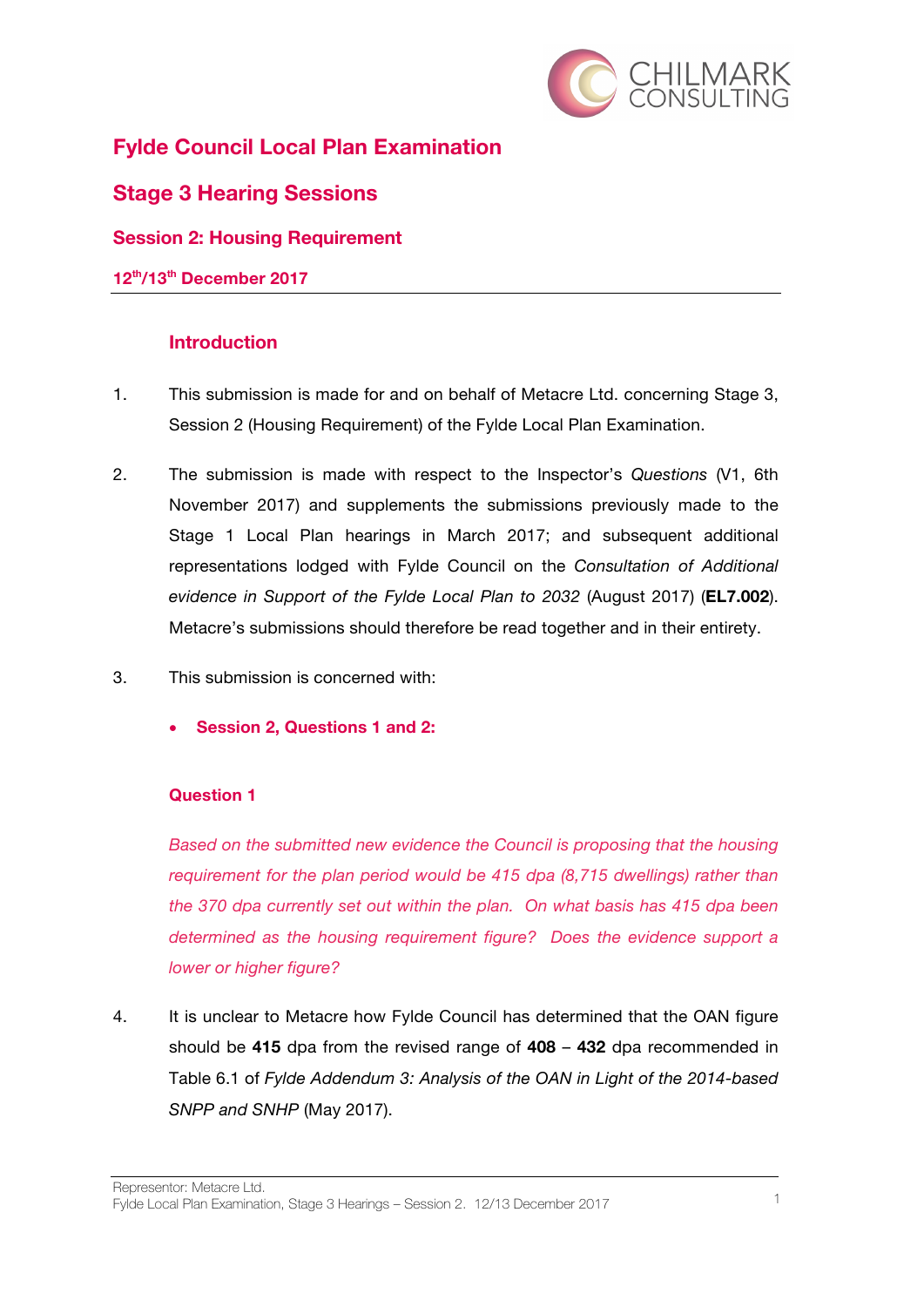

# **Fylde Council Local Plan Examination**

# **Stage 3 Hearing Sessions**

### **Session 2: Housing Requirement**

#### **12th/13th December 2017**

### **Introduction**

- 1. This submission is made for and on behalf of Metacre Ltd. concerning Stage 3, Session 2 (Housing Requirement) of the Fylde Local Plan Examination.
- 2. The submission is made with respect to the Inspector's *Questions* (V1, 6th November 2017) and supplements the submissions previously made to the Stage 1 Local Plan hearings in March 2017; and subsequent additional representations lodged with Fylde Council on the *Consultation of Additional evidence in Support of the Fylde Local Plan to 2032* (August 2017) (**EL7.002**). Metacre's submissions should therefore be read together and in their entirety.
- 3. This submission is concerned with:
	- **Session 2, Questions 1 and 2:**

#### **Question 1**

*Based on the submitted new evidence the Council is proposing that the housing requirement for the plan period would be 415 dpa (8,715 dwellings) rather than the 370 dpa currently set out within the plan. On what basis has 415 dpa been determined as the housing requirement figure? Does the evidence support a lower or higher figure?*

4. It is unclear to Metacre how Fylde Council has determined that the OAN figure should be **415** dpa from the revised range of **408** – **432** dpa recommended in Table 6.1 of *Fylde Addendum 3: Analysis of the OAN in Light of the 2014-based SNPP and SNHP* (May 2017).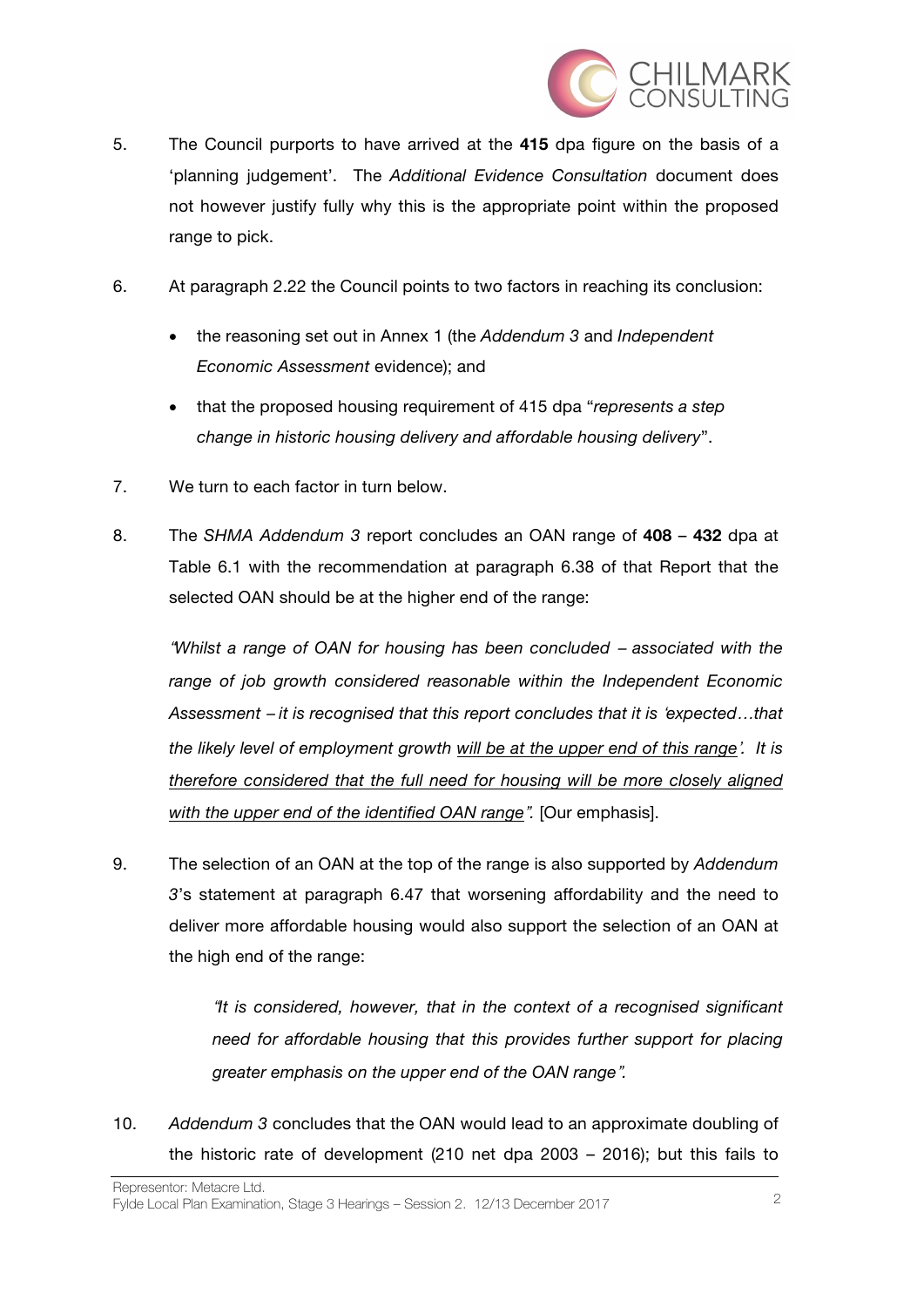

- 5. The Council purports to have arrived at the **415** dpa figure on the basis of a 'planning judgement'. The *Additional Evidence Consultation* document does not however justify fully why this is the appropriate point within the proposed range to pick.
- 6. At paragraph 2.22 the Council points to two factors in reaching its conclusion:
	- the reasoning set out in Annex 1 (the *Addendum 3* and *Independent Economic Assessment* evidence); and
	- that the proposed housing requirement of 415 dpa "*represents a step change in historic housing delivery and affordable housing delivery*".
- 7. We turn to each factor in turn below.
- 8. The *SHMA Addendum 3* report concludes an OAN range of **408 432** dpa at Table 6.1 with the recommendation at paragraph 6.38 of that Report that the selected OAN should be at the higher end of the range:

"*Whilst a range of OAN for housing has been concluded* – *associated with the range of job growth considered reasonable within the Independent Economic Assessment* – *it is recognised that this report concludes that it is* '*expected*…*that the likely level of employment growth will be at the upper end of this range*'*. It is therefore considered that the full need for housing will be more closely aligned with the upper end of the identified OAN range*"*.* [Our emphasis].

9. The selection of an OAN at the top of the range is also supported by *Addendum 3*'s statement at paragraph 6.47 that worsening affordability and the need to deliver more affordable housing would also support the selection of an OAN at the high end of the range:

> "*It is considered, however, that in the context of a recognised significant*  need for affordable housing that this provides further support for placing *greater emphasis on the upper end of the OAN range*"*.*

10. *Addendum 3* concludes that the OAN would lead to an approximate doubling of the historic rate of development (210 net dpa 2003 – 2016); but this fails to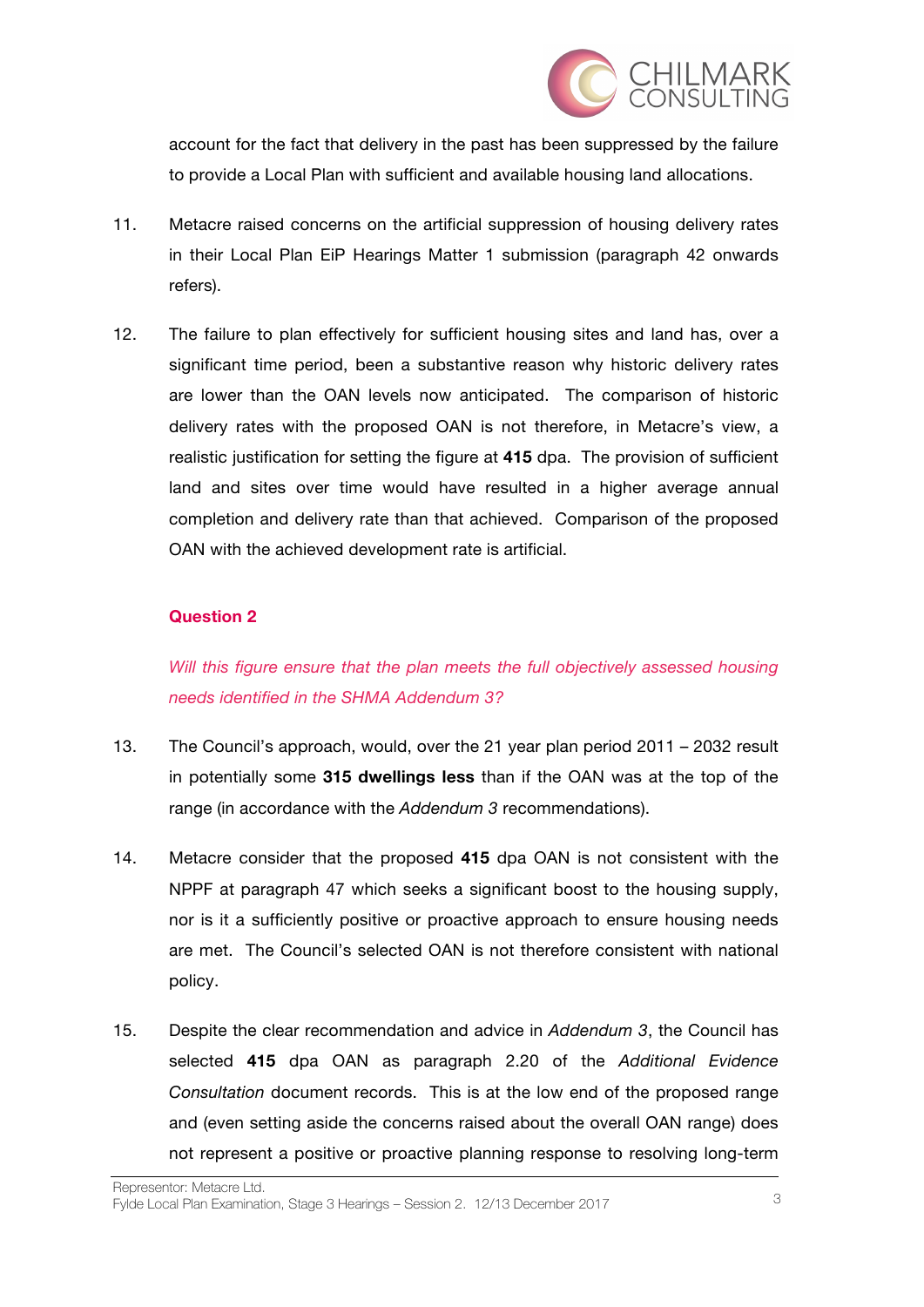

account for the fact that delivery in the past has been suppressed by the failure to provide a Local Plan with sufficient and available housing land allocations.

- 11. Metacre raised concerns on the artificial suppression of housing delivery rates in their Local Plan EiP Hearings Matter 1 submission (paragraph 42 onwards refers).
- 12. The failure to plan effectively for sufficient housing sites and land has, over a significant time period, been a substantive reason why historic delivery rates are lower than the OAN levels now anticipated. The comparison of historic delivery rates with the proposed OAN is not therefore, in Metacre's view, a realistic justification for setting the figure at **415** dpa. The provision of sufficient land and sites over time would have resulted in a higher average annual completion and delivery rate than that achieved. Comparison of the proposed OAN with the achieved development rate is artificial.

#### **Question 2**

*Will this figure ensure that the plan meets the full objectively assessed housing needs identified in the SHMA Addendum 3?*

- 13. The Council's approach, would, over the 21 year plan period 2011 2032 result in potentially some **315 dwellings less** than if the OAN was at the top of the range (in accordance with the *Addendum 3* recommendations).
- 14. Metacre consider that the proposed **415** dpa OAN is not consistent with the NPPF at paragraph 47 which seeks a significant boost to the housing supply, nor is it a sufficiently positive or proactive approach to ensure housing needs are met. The Council's selected OAN is not therefore consistent with national policy.
- 15. Despite the clear recommendation and advice in *Addendum 3*, the Council has selected **415** dpa OAN as paragraph 2.20 of the *Additional Evidence Consultation* document records. This is at the low end of the proposed range and (even setting aside the concerns raised about the overall OAN range) does not represent a positive or proactive planning response to resolving long-term